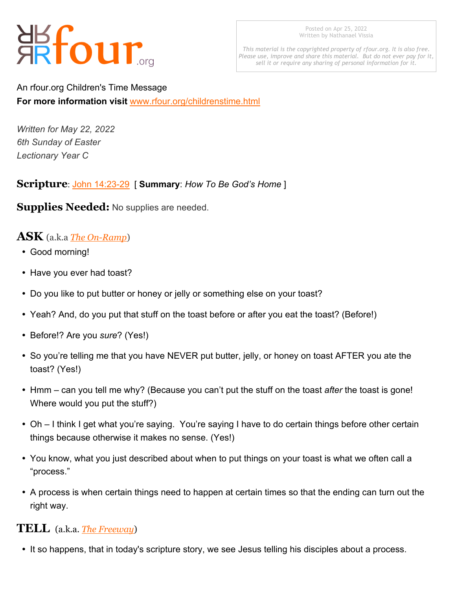# 器four...

Posted on Apr 25, 2022 Written by Nathanael Vissia

*This material is the copyrighted property of rfour.org. It is also free. Please use, improve and share this material. But do not ever pay for it, sell it or require any sharing of personal information for it.*

An rfour.org Children's Time Message **For more information visit** <www.rfour.org/childrenstime.html>

*Written for May 22, 2022 6th Sunday of Easter Lectionary Year C*

#### **Scripture**: [John 14:23-29](https://bible.oremus.org/?ql=327149542) [ **Summary**: *How To Be God's Home* ]

**Supplies Needed:** No supplies are needed.

### **ASK** (a.k.a *[The On-Ramp](http://www.rfour.org/childrenstime.html#compontents_of_childrens_message)*)

- Good morning!
- Have you ever had toast?
- Do you like to put butter or honey or jelly or something else on your toast?
- Yeah? And, do you put that stuff on the toast before or after you eat the toast? (Before!)
- ü Before!? Are you *sure*? (Yes!)
- So you're telling me that you have NEVER put butter, jelly, or honey on toast AFTER you ate the toast? (Yes!)
- Hmm can you tell me why? (Because you can't put the stuff on the toast after the toast is gone! Where would you put the stuff?)
- Oh I think I get what you're saying. You're saying I have to do certain things before other certain things because otherwise it makes no sense. (Yes!)
- You know, what you just described about when to put things on your toast is what we often call a "process."
- A process is when certain things need to happen at certain times so that the ending can turn out the right way.

#### **TELL** (a.k.a. *[The Freeway](http://www.rfour.org/childrenstime.html#compontents_of_childrens_message)*)

• It so happens, that in today's scripture story, we see Jesus telling his disciples about a process.